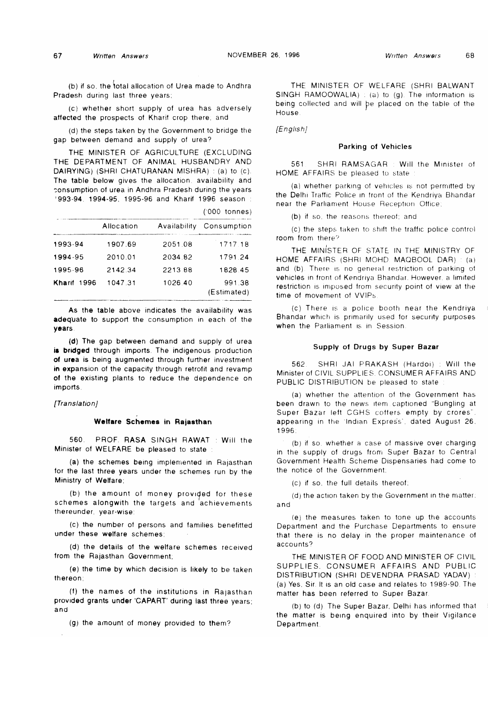('000 tonnes)

(b) if so, the total allocation of Urea made to Andhra Pradesh during last three years;

(c) whether short supply of urea has adversely affected the prospects of Kharif crop there, and

(d) the steps taken by the Government to bridge the gap between demand and supply of urea?

THE MINISTER OF AGRICULTURE (EXCLUDING THE DEPARTMENT OF ANIMAL HUSBANDRY AND DAIRYING) (SHRI CHATURANAN MISHRA) : (a) to (c). The table below gives the allocation, availability and consumption of urea in Andhra Pradesh during the years ' 993-94. 1994-95, 1995-96 and Kharif 1996 season :

|             |            |              | $1000$ tomes)         |
|-------------|------------|--------------|-----------------------|
|             | Allocation | Availability | Consumption           |
| 1993-94     | 1907.69    | 2051.08      | 1717.18               |
| 1994-95     | 2010.01    | 2034 82      | 1791 24               |
| 1995-96     | 2142.34    | 2213.88      | 1828.45               |
| Kharif 1996 | 1047.31    | 1026.40      | 991.38<br>(Estimated) |

As the table above indicates the availability was adequate to support the consumption in each of the years

(d) The gap between demand and supply of urea is bridged through imports, The indigenous production of urea is being augmented through further investment in expansion of the capacity through retrofit and revamp of the existing plants to reduce the dependence on imports.

### *[Translation]*

# **Welfare Schemes in Rajasthan**

560. PROF. RASA SINGH RAWAT : Will the Minister of WELFARE be pleased to state :

(a) the schemes being implemented in Rajasthan for the last three years under the schemes run by the Ministry of Welfare;

(b) the amount of money provided for these schemes alongwith the targets and achievements thereunder, year-wise;

(c) the number of persons and families benefitted under these welfare schemes;

(d) the details of the welfare schemes received from the Rajasthan Government;

(e) the time by which decision is likely to be taken thereon;

(f) the names of the institutions in Rajasthan provided grants under CAPART' during last three years; and

(g) the amount of money provided to them?

THE MINISTER OF WELFARE (SHRI BALWANT SINGH RAMOOWALIA) : (a) to (g). The information is being collected and will be placed on the table of the House

*[English]*

### Parking of Vehicles

561 SHRI RAMSAGAR ; Will the Minister of HOME AFFAIRS be pleased to state

(a) whether parking ot vehicles is not permitted by the Delhi Traffic Police in front of the Kendriya Bhandar near the Parliament House Reception Office;

(b) if so, the reasons thereof; and

(c) the steps taken to shift the traffic police control room from there7

THE MINISTER OF STATE IN THE MINISTRY OF HOME AFFAIRS (SHRI MOHD MAQBOOL DAR) ; (a) and (b). There is no general restriction of parking of vehicles in front of Kendriya Bhandar. However, a limited restriction is imposed from security point of view at the time of movement of VVIPs

(c) There is a police booth near the Kendriya Bhandar which is primarily used for security purposes when the Parliament is in Session.

# Supply of Drugs by Super Bazar

562, SHRI JAI PRAKASH (Hardoi) ; Will the Minister of CIVIL SUPPLIES, CONSUMER AFFAIRS AND PUBLIC DISTRIBUTION be pleased to state

(a) whether the attention of the Government has been drawn to the news item captioned "Bungling at Super Bazar left CGHS coffers empty by crores". appearing in the Indian Express', dated August 26, 1996;

(b) if so, whether a case of massive over charging in the supply of drugs from Super Bazar to Central Government Health Scheme Dispensaries had come to the notice of the Government;

(c) if so. the full details thereof;

(d) the action taken by the Government in the matter; and

(e) the measures taken to tone up the accounts Department and the Purchase Departments to ensure that there is no delay in the proper maintenance of accounts?

THE MINISTER OF FOOD AND MINISTER OF CIVIL SUPPLIES. CONSUMER AFFAIRS AND PUBLIC DISTRIBUTION (SHRI DEVENDRA PRASAD YADAV) (a) Yes. Sir. It is an old case and relates to 1989-90. The matter has been referred to Super Bazar

(b) to (d) The Super Bazar, Delhi has informed that the matter is being enquired into by their Vigilance Department.